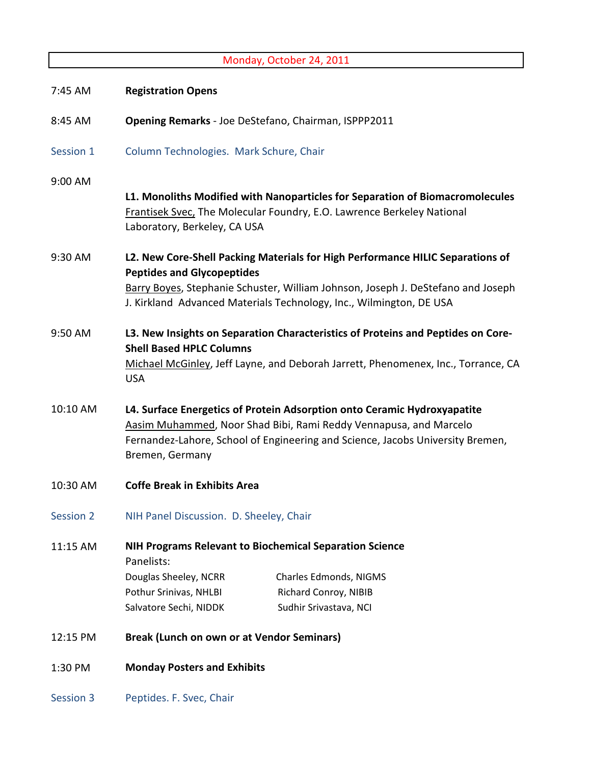|                  |                                                                                                                                                                                                                                                                                | Monday, October 24, 2011                                                                                                                                              |  |
|------------------|--------------------------------------------------------------------------------------------------------------------------------------------------------------------------------------------------------------------------------------------------------------------------------|-----------------------------------------------------------------------------------------------------------------------------------------------------------------------|--|
| 7:45 AM          | <b>Registration Opens</b>                                                                                                                                                                                                                                                      |                                                                                                                                                                       |  |
| 8:45 AM          | Opening Remarks - Joe DeStefano, Chairman, ISPPP2011                                                                                                                                                                                                                           |                                                                                                                                                                       |  |
| Session 1        | Column Technologies. Mark Schure, Chair                                                                                                                                                                                                                                        |                                                                                                                                                                       |  |
| 9:00 AM          | Laboratory, Berkeley, CA USA                                                                                                                                                                                                                                                   | L1. Monoliths Modified with Nanoparticles for Separation of Biomacromolecules<br>Frantisek Svec, The Molecular Foundry, E.O. Lawrence Berkeley National               |  |
| 9:30 AM          | L2. New Core-Shell Packing Materials for High Performance HILIC Separations of<br><b>Peptides and Glycopeptides</b><br>Barry Boyes, Stephanie Schuster, William Johnson, Joseph J. DeStefano and Joseph<br>J. Kirkland Advanced Materials Technology, Inc., Wilmington, DE USA |                                                                                                                                                                       |  |
| 9:50 AM          | <b>Shell Based HPLC Columns</b><br><b>USA</b>                                                                                                                                                                                                                                  | L3. New Insights on Separation Characteristics of Proteins and Peptides on Core-<br>Michael McGinley, Jeff Layne, and Deborah Jarrett, Phenomenex, Inc., Torrance, CA |  |
| 10:10 AM         | L4. Surface Energetics of Protein Adsorption onto Ceramic Hydroxyapatite<br>Aasim Muhammed, Noor Shad Bibi, Rami Reddy Vennapusa, and Marcelo<br>Fernandez-Lahore, School of Engineering and Science, Jacobs University Bremen,<br>Bremen, Germany                             |                                                                                                                                                                       |  |
| 10:30 AM         | <b>Coffe Break in Exhibits Area</b>                                                                                                                                                                                                                                            |                                                                                                                                                                       |  |
| <b>Session 2</b> | NIH Panel Discussion. D. Sheeley, Chair                                                                                                                                                                                                                                        |                                                                                                                                                                       |  |
| 11:15 AM         | Panelists:<br>Douglas Sheeley, NCRR<br>Pothur Srinivas, NHLBI<br>Salvatore Sechi, NIDDK                                                                                                                                                                                        | <b>NIH Programs Relevant to Biochemical Separation Science</b><br>Charles Edmonds, NIGMS<br>Richard Conroy, NIBIB<br>Sudhir Srivastava, NCI                           |  |
| 12:15 PM         | <b>Break (Lunch on own or at Vendor Seminars)</b>                                                                                                                                                                                                                              |                                                                                                                                                                       |  |
| 1:30 PM          | <b>Monday Posters and Exhibits</b>                                                                                                                                                                                                                                             |                                                                                                                                                                       |  |
| <b>Session 3</b> | Peptides. F. Svec, Chair                                                                                                                                                                                                                                                       |                                                                                                                                                                       |  |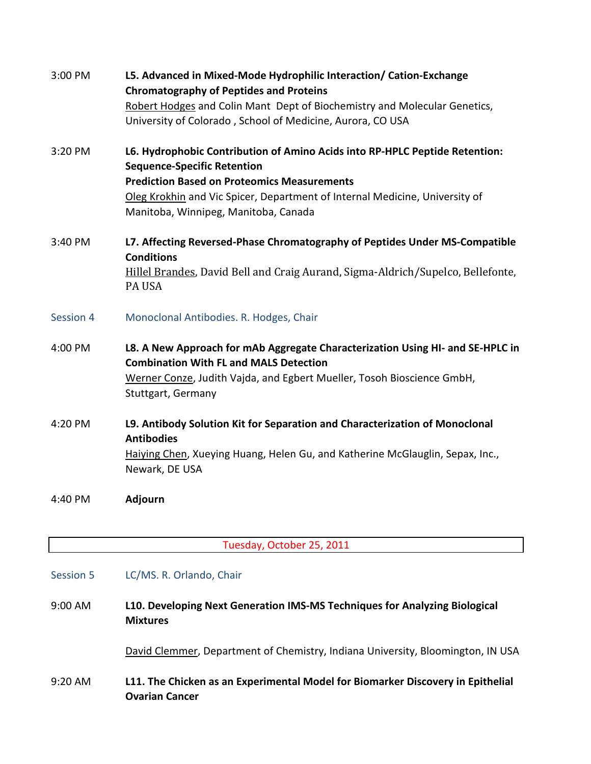| 3:00 PM          | L5. Advanced in Mixed-Mode Hydrophilic Interaction/ Cation-Exchange<br><b>Chromatography of Peptides and Proteins</b><br>Robert Hodges and Colin Mant Dept of Biochemistry and Molecular Genetics,<br>University of Colorado, School of Medicine, Aurora, CO USA                               |
|------------------|------------------------------------------------------------------------------------------------------------------------------------------------------------------------------------------------------------------------------------------------------------------------------------------------|
| 3:20 PM          | L6. Hydrophobic Contribution of Amino Acids into RP-HPLC Peptide Retention:<br><b>Sequence-Specific Retention</b><br><b>Prediction Based on Proteomics Measurements</b><br>Oleg Krokhin and Vic Spicer, Department of Internal Medicine, University of<br>Manitoba, Winnipeg, Manitoba, Canada |
| 3:40 PM          | L7. Affecting Reversed-Phase Chromatography of Peptides Under MS-Compatible<br><b>Conditions</b><br>Hillel Brandes, David Bell and Craig Aurand, Sigma-Aldrich/Supelco, Bellefonte,<br>PA USA                                                                                                  |
| <b>Session 4</b> | Monoclonal Antibodies. R. Hodges, Chair                                                                                                                                                                                                                                                        |
| 4:00 PM          | L8. A New Approach for mAb Aggregate Characterization Using HI- and SE-HPLC in<br><b>Combination With FL and MALS Detection</b><br>Werner Conze, Judith Vajda, and Egbert Mueller, Tosoh Bioscience GmbH,<br>Stuttgart, Germany                                                                |
| 4:20 PM          | L9. Antibody Solution Kit for Separation and Characterization of Monoclonal<br><b>Antibodies</b><br>Haiying Chen, Xueying Huang, Helen Gu, and Katherine McGlauglin, Sepax, Inc.,<br>Newark, DE USA                                                                                            |
| 4:40 PM          | Adjourn                                                                                                                                                                                                                                                                                        |

## Tuesday, October 25, 2011

## Session 5 LC/MS. R. Orlando, Chair

9:00 AM **L10. Developing Next Generation IMS-MS Techniques for Analyzing Biological Mixtures**

David Clemmer, Department of Chemistry, Indiana University, Bloomington, IN USA

9:20 AM **L11. The Chicken as an Experimental Model for Biomarker Discovery in Epithelial Ovarian Cancer**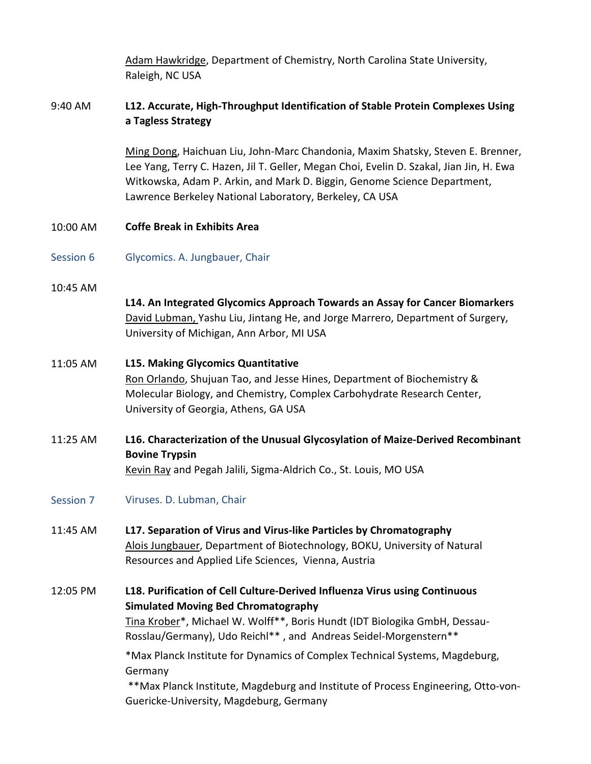Adam Hawkridge, Department of Chemistry, North Carolina State University, Raleigh, NC USA

## 9:40 AM **L12. Accurate, High-Throughput Identification of Stable Protein Complexes Using a Tagless Strategy**

Ming Dong, Haichuan Liu, John-Marc Chandonia, Maxim Shatsky, Steven E. Brenner, Lee Yang, Terry C. Hazen, Jil T. Geller, Megan Choi, Evelin D. Szakal, Jian Jin, H. Ewa Witkowska, Adam P. Arkin, and Mark D. Biggin, Genome Science Department, Lawrence Berkeley National Laboratory, Berkeley, CA USA

10:00 AM **Coffe Break in Exhibits Area**

- Session 6 Glycomics. A. Jungbauer, Chair
- 10:45 AM

**L14. An Integrated Glycomics Approach Towards an Assay for Cancer Biomarkers** David Lubman, Yashu Liu, Jintang He, and Jorge Marrero, Department of Surgery, University of Michigan, Ann Arbor, MI USA

- 11:05 AM **L15. Making Glycomics Quantitative** Ron Orlando, Shujuan Tao, and Jesse Hines, Department of Biochemistry & Molecular Biology, and Chemistry, Complex Carbohydrate Research Center, University of Georgia, Athens, GA USA
- 11:25 AM **L16. Characterization of the Unusual Glycosylation of Maize-Derived Recombinant Bovine Trypsin** Kevin Ray and Pegah Jalili, Sigma-Aldrich Co., St. Louis, MO USA
- Session 7 Viruses. D. Lubman, Chair
- 11:45 AM **L17. Separation of Virus and Virus-like Particles by Chromatography** Alois Jungbauer, Department of Biotechnology, BOKU, University of Natural Resources and Applied Life Sciences, Vienna, Austria
- 12:05 PM **L18. Purification of Cell Culture-Derived Influenza Virus using Continuous Simulated Moving Bed Chromatography** Tina Krober\*, Michael W. Wolff\*\*, Boris Hundt (IDT Biologika GmbH, Dessau-Rosslau/Germany), Udo Reichl\*\* , and Andreas Seidel-Morgenstern\*\* \*Max Planck Institute for Dynamics of Complex Technical Systems, Magdeburg, Germany \*\*Max Planck Institute, Magdeburg and Institute of Process Engineering, Otto-von-Guericke-University, Magdeburg, Germany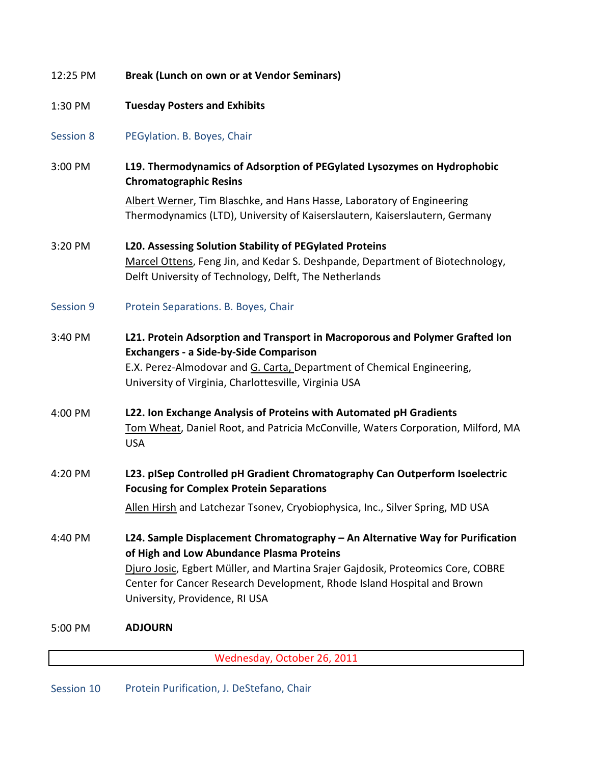| 12:25 PM         | <b>Break (Lunch on own or at Vendor Seminars)</b>                                                                                                                                                                                                                |  |
|------------------|------------------------------------------------------------------------------------------------------------------------------------------------------------------------------------------------------------------------------------------------------------------|--|
| 1:30 PM          | <b>Tuesday Posters and Exhibits</b>                                                                                                                                                                                                                              |  |
| <b>Session 8</b> | PEGylation. B. Boyes, Chair                                                                                                                                                                                                                                      |  |
| 3:00 PM          | L19. Thermodynamics of Adsorption of PEGylated Lysozymes on Hydrophobic<br><b>Chromatographic Resins</b>                                                                                                                                                         |  |
|                  | Albert Werner, Tim Blaschke, and Hans Hasse, Laboratory of Engineering<br>Thermodynamics (LTD), University of Kaiserslautern, Kaiserslautern, Germany                                                                                                            |  |
| 3:20 PM          | L20. Assessing Solution Stability of PEGylated Proteins<br>Marcel Ottens, Feng Jin, and Kedar S. Deshpande, Department of Biotechnology,<br>Delft University of Technology, Delft, The Netherlands                                                               |  |
| Session 9        | Protein Separations. B. Boyes, Chair                                                                                                                                                                                                                             |  |
| 3:40 PM          | L21. Protein Adsorption and Transport in Macroporous and Polymer Grafted Ion<br><b>Exchangers - a Side-by-Side Comparison</b><br>E.X. Perez-Almodovar and G. Carta, Department of Chemical Engineering,<br>University of Virginia, Charlottesville, Virginia USA |  |
| 4:00 PM          | L22. Ion Exchange Analysis of Proteins with Automated pH Gradients<br>Tom Wheat, Daniel Root, and Patricia McConville, Waters Corporation, Milford, MA<br><b>USA</b>                                                                                             |  |
| 4:20 PM          | L23. pISep Controlled pH Gradient Chromatography Can Outperform Isoelectric<br><b>Focusing for Complex Protein Separations</b>                                                                                                                                   |  |
|                  | Allen Hirsh and Latchezar Tsonev, Cryobiophysica, Inc., Silver Spring, MD USA                                                                                                                                                                                    |  |
| 4:40 PM          | L24. Sample Displacement Chromatography - An Alternative Way for Purification<br>of High and Low Abundance Plasma Proteins                                                                                                                                       |  |
|                  | Djuro Josic, Egbert Müller, and Martina Srajer Gajdosik, Proteomics Core, COBRE<br>Center for Cancer Research Development, Rhode Island Hospital and Brown<br>University, Providence, RI USA                                                                     |  |
| 5:00 PM          | <b>ADJOURN</b>                                                                                                                                                                                                                                                   |  |
|                  | Wednesday, October 26, 2011                                                                                                                                                                                                                                      |  |

Session 10 Protein Purification, J. DeStefano, Chair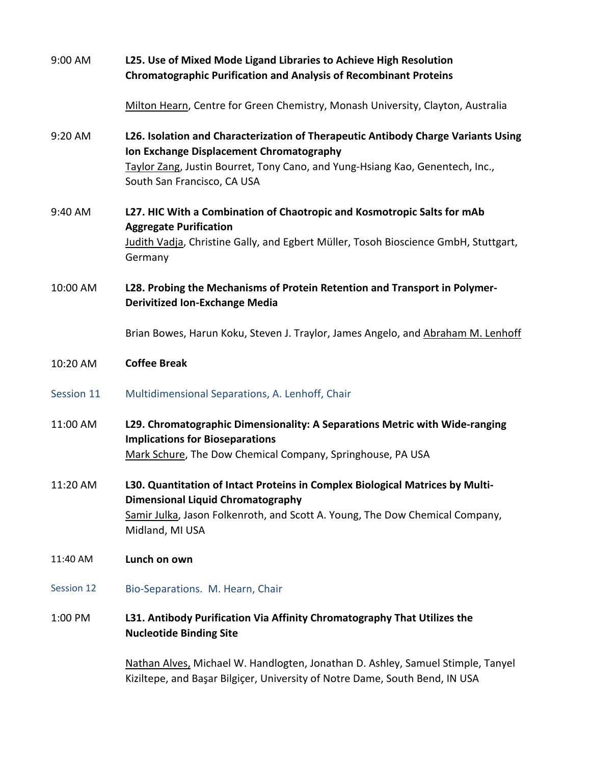| 9:00 AM    | L25. Use of Mixed Mode Ligand Libraries to Achieve High Resolution<br><b>Chromatographic Purification and Analysis of Recombinant Proteins</b>                                                                                                |  |
|------------|-----------------------------------------------------------------------------------------------------------------------------------------------------------------------------------------------------------------------------------------------|--|
|            | Milton Hearn, Centre for Green Chemistry, Monash University, Clayton, Australia                                                                                                                                                               |  |
| 9:20 AM    | L26. Isolation and Characterization of Therapeutic Antibody Charge Variants Using<br>Ion Exchange Displacement Chromatography<br>Taylor Zang, Justin Bourret, Tony Cano, and Yung-Hsiang Kao, Genentech, Inc.,<br>South San Francisco, CA USA |  |
| 9:40 AM    | L27. HIC With a Combination of Chaotropic and Kosmotropic Salts for mAb<br><b>Aggregate Purification</b><br>Judith Vadja, Christine Gally, and Egbert Müller, Tosoh Bioscience GmbH, Stuttgart,<br>Germany                                    |  |
| 10:00 AM   | L28. Probing the Mechanisms of Protein Retention and Transport in Polymer-<br><b>Derivitized Ion-Exchange Media</b>                                                                                                                           |  |
|            | Brian Bowes, Harun Koku, Steven J. Traylor, James Angelo, and Abraham M. Lenhoff                                                                                                                                                              |  |
| 10:20 AM   | <b>Coffee Break</b>                                                                                                                                                                                                                           |  |
| Session 11 | Multidimensional Separations, A. Lenhoff, Chair                                                                                                                                                                                               |  |
| 11:00 AM   | L29. Chromatographic Dimensionality: A Separations Metric with Wide-ranging<br><b>Implications for Bioseparations</b><br>Mark Schure, The Dow Chemical Company, Springhouse, PA USA                                                           |  |
| 11:20 AM   | L30. Quantitation of Intact Proteins in Complex Biological Matrices by Multi-<br><b>Dimensional Liquid Chromatography</b><br>Samir Julka, Jason Folkenroth, and Scott A. Young, The Dow Chemical Company,<br>Midland, MI USA                  |  |
| 11:40 AM   | Lunch on own                                                                                                                                                                                                                                  |  |
| Session 12 | Bio-Separations. M. Hearn, Chair                                                                                                                                                                                                              |  |
| 1:00 PM    | L31. Antibody Purification Via Affinity Chromatography That Utilizes the<br><b>Nucleotide Binding Site</b>                                                                                                                                    |  |

Nathan Alves, Michael W. Handlogten, Jonathan D. Ashley, Samuel Stimple, Tanyel Kiziltepe, and Başar Bilgiçer, University of Notre Dame, South Bend, IN USA